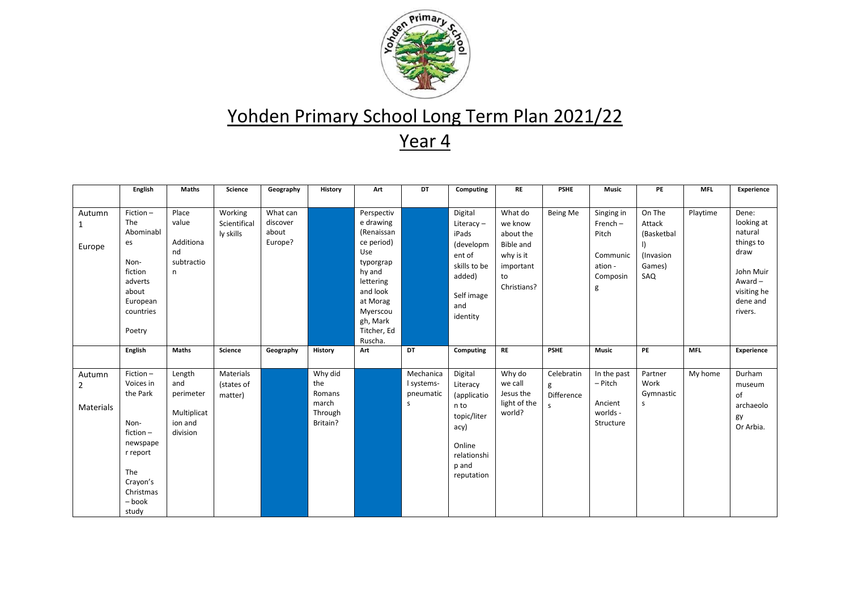

|                                       | English                                                                                                                               | <b>Maths</b>                                                     | <b>Science</b>                       | Geography                                | History                                                  | Art                                                                                                                                                                      | DT                                        | Computing                                                                                                         | <b>RE</b>                                                                                          | <b>PSHE</b>                        | <b>Music</b>                                                              | PE                                                           | <b>MFL</b> | Experience                                                                                                          |
|---------------------------------------|---------------------------------------------------------------------------------------------------------------------------------------|------------------------------------------------------------------|--------------------------------------|------------------------------------------|----------------------------------------------------------|--------------------------------------------------------------------------------------------------------------------------------------------------------------------------|-------------------------------------------|-------------------------------------------------------------------------------------------------------------------|----------------------------------------------------------------------------------------------------|------------------------------------|---------------------------------------------------------------------------|--------------------------------------------------------------|------------|---------------------------------------------------------------------------------------------------------------------|
|                                       |                                                                                                                                       |                                                                  |                                      |                                          |                                                          |                                                                                                                                                                          |                                           |                                                                                                                   |                                                                                                    |                                    |                                                                           |                                                              |            |                                                                                                                     |
| Autumn<br>Europe                      | $Fiction -$<br>The<br>Abominabl<br>es<br>Non-<br>fiction<br>adverts<br>about<br>European<br>countries<br>Poetry                       | Place<br>value<br>Additiona<br>nd<br>subtractio<br>n             | Working<br>Scientifical<br>ly skills | What can<br>discover<br>about<br>Europe? |                                                          | Perspectiv<br>e drawing<br>(Renaissan<br>ce period)<br>Use<br>typorgrap<br>hy and<br>lettering<br>and look<br>at Morag<br>Myerscou<br>gh, Mark<br>Titcher, Ed<br>Ruscha. |                                           | Digital<br>Literacy-<br>iPads<br>(developm<br>ent of<br>skills to be<br>added)<br>Self image<br>and<br>identity   | What do<br>we know<br>about the<br><b>Bible and</b><br>why is it<br>important<br>to<br>Christians? | Being Me                           | Singing in<br>$French -$<br>Pitch<br>Communic<br>ation -<br>Composin<br>g | On The<br>Attack<br>(Basketbal<br>(Invasion<br>Games)<br>SAQ | Playtime   | Dene:<br>looking at<br>natural<br>things to<br>draw<br>John Muir<br>Award $-$<br>visiting he<br>dene and<br>rivers. |
|                                       | English                                                                                                                               | <b>Maths</b>                                                     | Science                              | Geography                                | <b>History</b>                                           | Art                                                                                                                                                                      | DT                                        | Computing                                                                                                         | <b>RE</b>                                                                                          | <b>PSHE</b>                        | <b>Music</b>                                                              | PE                                                           | <b>MFL</b> | Experience                                                                                                          |
| Autumn<br>$\overline{2}$<br>Materials | Fiction-<br>Voices in<br>the Park<br>Non-<br>fiction $-$<br>newspape<br>r report<br>The<br>Crayon's<br>Christmas<br>$-$ book<br>study | Length<br>and<br>perimeter<br>Multiplicat<br>ion and<br>division | Materials<br>(states of<br>matter)   |                                          | Why did<br>the<br>Romans<br>march<br>Through<br>Britain? |                                                                                                                                                                          | Mechanica<br>I systems-<br>pneumatic<br>s | Digital<br>Literacy<br>(applicatio<br>n to<br>topic/liter<br>acy)<br>Online<br>relationshi<br>p and<br>reputation | Why do<br>we call<br>Jesus the<br>light of the<br>world?                                           | Celebratin<br>g<br>Difference<br>S | In the past<br>- Pitch<br>Ancient<br>worlds -<br>Structure                | Partner<br>Work<br>Gymnastic<br>s                            | My home    | Durham<br>museum<br>of<br>archaeolo<br>gy<br>Or Arbia.                                                              |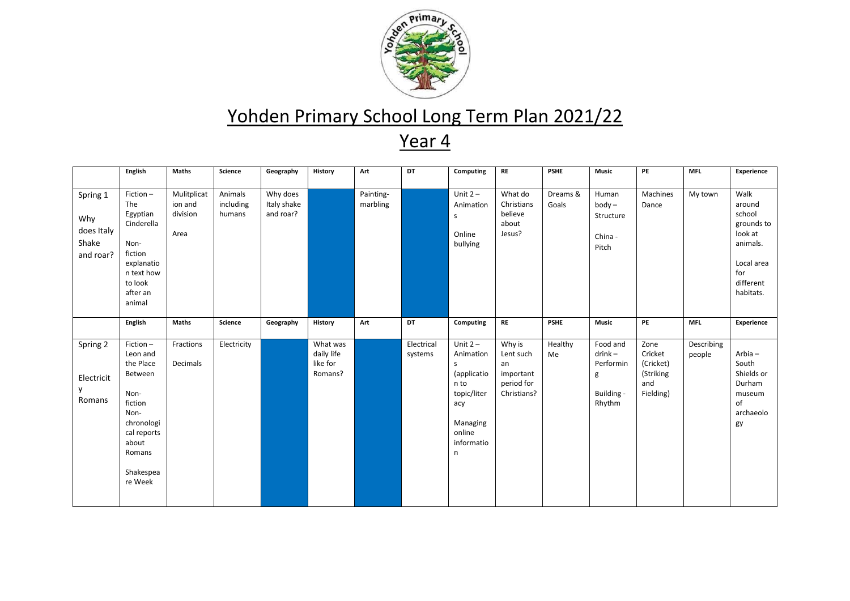

|                                                     | <b>English</b>                                                                                                                                  | <b>Maths</b>                               | Science                        | Geography                            | <b>History</b>                                | Art                   | DT                    | Computing                                                                                                                     | <b>RE</b>                                                           | <b>PSHE</b>       | <b>Music</b>                                                    | PE                                                            | <b>MFL</b>           | Experience                                                                                                   |
|-----------------------------------------------------|-------------------------------------------------------------------------------------------------------------------------------------------------|--------------------------------------------|--------------------------------|--------------------------------------|-----------------------------------------------|-----------------------|-----------------------|-------------------------------------------------------------------------------------------------------------------------------|---------------------------------------------------------------------|-------------------|-----------------------------------------------------------------|---------------------------------------------------------------|----------------------|--------------------------------------------------------------------------------------------------------------|
| Spring 1<br>Why<br>does Italy<br>Shake<br>and roar? | Fiction-<br>The<br>Egyptian<br>Cinderella<br>Non-<br>fiction<br>explanatio<br>n text how<br>to look<br>after an<br>animal                       | Mulitplicat<br>ion and<br>division<br>Area | Animals<br>including<br>humans | Why does<br>Italy shake<br>and roar? |                                               | Painting-<br>marbling |                       | Unit $2 -$<br>Animation<br>S<br>Online<br>bullying                                                                            | What do<br>Christians<br>believe<br>about<br>Jesus?                 | Dreams &<br>Goals | Human<br>$body -$<br>Structure<br>China -<br>Pitch              | Machines<br>Dance                                             | My town              | Walk<br>around<br>school<br>grounds to<br>look at<br>animals.<br>Local area<br>for<br>different<br>habitats. |
|                                                     | English                                                                                                                                         | <b>Maths</b>                               | Science                        | Geography                            | History                                       | Art                   | DT                    | Computing                                                                                                                     | <b>RE</b>                                                           | <b>PSHE</b>       | <b>Music</b>                                                    | PE                                                            | <b>MFL</b>           | Experience                                                                                                   |
| Spring 2<br>Electricit<br>Romans                    | Fiction-<br>Leon and<br>the Place<br>Between<br>Non-<br>fiction<br>Non-<br>chronologi<br>cal reports<br>about<br>Romans<br>Shakespea<br>re Week | Fractions<br>Decimals                      | Electricity                    |                                      | What was<br>daily life<br>like for<br>Romans? |                       | Electrical<br>systems | Unit $2 -$<br>Animation<br><sub>S</sub><br>(applicatio<br>n to<br>topic/liter<br>acy<br>Managing<br>online<br>informatio<br>n | Why is<br>Lent such<br>an<br>important<br>period for<br>Christians? | Healthy<br>Me     | Food and<br>$drink -$<br>Performin<br>g<br>Building -<br>Rhythm | Zone<br>Cricket<br>(Cricket)<br>(Striking<br>and<br>Fielding) | Describing<br>people | Arbia-<br>South<br>Shields or<br>Durham<br>museum<br>of<br>archaeolo<br>gy                                   |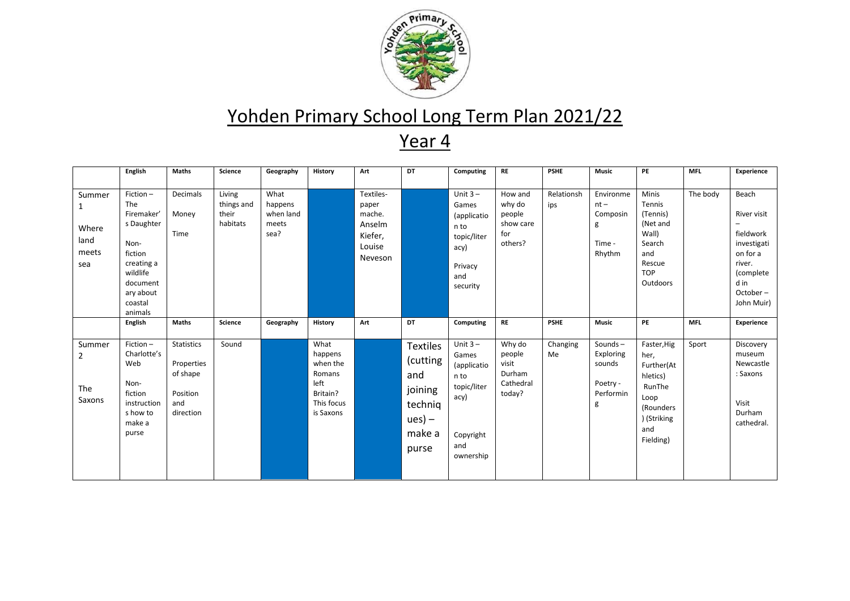

|                                           | English                                                                                                                                 | <b>Maths</b>                                                                | Science                                   | Geography                                     | <b>History</b>                                                                       | Art                                                                    | DT                                                                                      | Computing                                                                                          | <b>RE</b>                                                  | <b>PSHE</b>       | <b>Music</b>                                                 | PE                                                                                                               | <b>MFL</b> | Experience                                                                                                            |
|-------------------------------------------|-----------------------------------------------------------------------------------------------------------------------------------------|-----------------------------------------------------------------------------|-------------------------------------------|-----------------------------------------------|--------------------------------------------------------------------------------------|------------------------------------------------------------------------|-----------------------------------------------------------------------------------------|----------------------------------------------------------------------------------------------------|------------------------------------------------------------|-------------------|--------------------------------------------------------------|------------------------------------------------------------------------------------------------------------------|------------|-----------------------------------------------------------------------------------------------------------------------|
| Summer<br>Where<br>land<br>meets<br>sea   | Fiction-<br>The<br>Firemaker'<br>s Daughter<br>Non-<br>fiction<br>creating a<br>wildlife<br>document<br>ary about<br>coastal<br>animals | Decimals<br>Money<br>Time                                                   | Living<br>things and<br>their<br>habitats | What<br>happens<br>when land<br>meets<br>sea? |                                                                                      | Textiles-<br>paper<br>mache.<br>Anselm<br>Kiefer,<br>Louise<br>Neveson |                                                                                         | Unit $3 -$<br>Games<br>(applicatio<br>n to<br>topic/liter<br>acy)<br>Privacy<br>and<br>security    | How and<br>why do<br>people<br>show care<br>for<br>others? | Relationsh<br>ips | Environme<br>$nt -$<br>Composin<br>g<br>Time -<br>Rhythm     | <b>Minis</b><br>Tennis<br>(Tennis)<br>(Net and<br>Wall)<br>Search<br>and<br>Rescue<br><b>TOP</b><br>Outdoors     | The body   | Beach<br>River visit<br>fieldwork<br>investigati<br>on for a<br>river.<br>(complete<br>d in<br>October-<br>John Muir) |
|                                           | English                                                                                                                                 | <b>Maths</b>                                                                | <b>Science</b>                            | Geography                                     | <b>History</b>                                                                       | Art                                                                    | DT                                                                                      | Computing                                                                                          | <b>RE</b>                                                  | <b>PSHE</b>       | <b>Music</b>                                                 | PE                                                                                                               | <b>MFL</b> | Experience                                                                                                            |
| Summer<br>$\overline{2}$<br>The<br>Saxons | Fiction-<br>Charlotte's<br>Web<br>Non-<br>fiction<br>instruction<br>s how to<br>make a<br>purse                                         | <b>Statistics</b><br>Properties<br>of shape<br>Position<br>and<br>direction | Sound                                     |                                               | What<br>happens<br>when the<br>Romans<br>left<br>Britain?<br>This focus<br>is Saxons |                                                                        | <b>Textiles</b><br>(cutting<br>and<br>joining<br>techniq<br>$ues) -$<br>make a<br>purse | Unit $3 -$<br>Games<br>(applicatio<br>n to<br>topic/liter<br>acy)<br>Copyright<br>and<br>ownership | Why do<br>people<br>visit<br>Durham<br>Cathedral<br>today? | Changing<br>Me    | Sounds-<br>Exploring<br>sounds<br>Poetry -<br>Performin<br>g | Faster, Hig<br>her,<br>Further(At<br>hletics)<br>RunThe<br>Loop<br>(Rounders)<br>) (Striking<br>and<br>Fielding) | Sport      | Discovery<br>museum<br>Newcastle<br>: Saxons<br>Visit<br>Durham<br>cathedral.                                         |